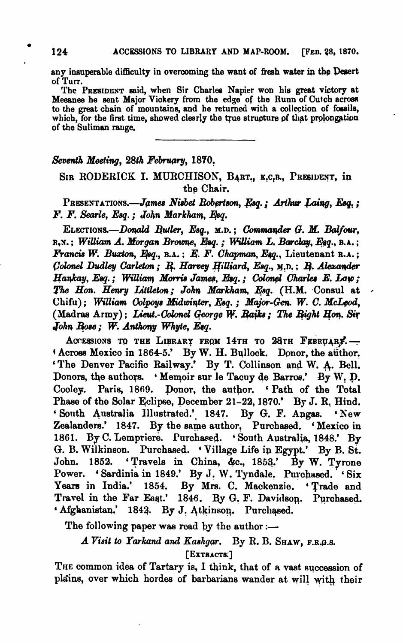any insuperable difficulty in overcoming the want of fresh water in the Desert of **Turr.** 

The PRESIDENT said, when Sir Charles Napier won his great victory at Mesanes he sent Major Vickery from the edge of the Runn of Cutch across to the great chain of mountains, and he returned with a collection of fossils, which, for the first time, showed clearly the true strupture of that prolongation of the Suliman rauge.

## **Seventh** *Heding,* **28th Fdwwy, 1870.**

SIR RODERICK I. MURCHISON, BART., K,C,B., PRESIDENT, in thg Chair.

PRESENTATIONS.-James Nisbet Robertson, Esq.; Arthur Laing, Esq.; F. F. Searle, Esq.; John Markham, Esq. Existen Lions.—James Divoet Bookroom, Esq.; Arthur Laing, Esq.; *F. Searle, Esq.*; John Markham, Esq.<br>F. Searle, Esq.; John Markham, Esq.<br>ELECTIONS.—Donald Buller, Esq., M.D.; Commander G. M. Balfour,

ELECTIONS.—Donald Buller, Esq., M.D.; Commander G. M. Balfour,<br>R,N.; William A. Morgan Browne, Esq.; William L. Barclay, Esq., B.A.; R<sub>a</sub>n.; *William A. Morgan Browne, Esq.*; *William L. Barclay, Esq.*, B.A.;<br>*Francis W. Buzton, Esq.*, B.A.; *E. F. Chapman, Esq.*, Lieutenant R.A.; was, on the main and allowing and about of any *institute of the main and allowing*, i.e. Francis W. Buxton, Eqq., B.A.; E. F. Chapman, Eqq., Lieutenant R.<br>Colonel Dudley Carleton; R. Harvey Hilliard, Esq., M.D.; R. Alexan *rrancis W. Buzon, Eeq., B.A.; 2. P. Chapman, Euq., Lieutemant R.A.;*<br>Colonel Dudley Carleton ; R. Harvey Hilliard, Esq., M.D.; R. Alexander<br>Hankay, Esq.; William Morris James, Esq.; Colonel Charles E. Law; **Hankay, Eeq.; William Morris James, Esq.; Colonel Charles E. Law;**<br>The Hon. Henry Littleton; John Markham, Eeq. (H.M. Consul at Chifu); William Colpoys Midwinter, Eeq.; Major-Gen. W. C. McLeod, (Madras Army); Lieut.-Colonel George W. Raiks; The Bight Hon. Sir John Rose; W. Anthony Whyte, Esq.

ACCESSIONS TO THE LIBRARY FROM 14TH TO 28TH FEBRUARS.-**<sup>4</sup>**Aom Mexioo in 1864-5.' **By** W. H. Bqllock. Donor, the atithor. 'The Deqver Pacifio Railway! By T. Collinson and W. **A.** Bell. Donors, the authors. ' Memoir sur le Tacuy de Barros.' By W. D. Cooley. Paris, 1869. Donor, the author. 'Path of the Total Phase of the Solar Eclipse, December 21-22, 1870.' By J. R. Hind. ' South Australia Illustrated.' 1847. By G. F. Angas. 'New Zealandere.' 1847. By the same author, Purchased. ' Mexico in 1861. By C. Lempriere. Purchased. 'South Australia, 1848.' By G. B. Wilkinson. Purchased. ' Village Life **ip** Egypt.' By B. St. 'Travels in China, &c., 1853.' By W. Tyrone Power. 'Sardinia in 1849.' By J. W. Tyndale. Purchased. 'Six Years in India.' 1854. By Mrs. C. Mackenzie. 'Trade and Travel in the Far East.' 1846. By G. F. Davidson. Purchased. 'Afghanistan.' 1842. By J. Atkinson. Purchased.

The following paper was read by the author  $:$ --

## $\boldsymbol{\Lambda}$  Visit to Yarkand and Kashgar. By R. B. SHAW, F.R.G.S. **[Ex~aacrs.]**

THE common idea of Tartary is, I think, that of a vast succession of plains, over which hordes of barbarians wander at will with their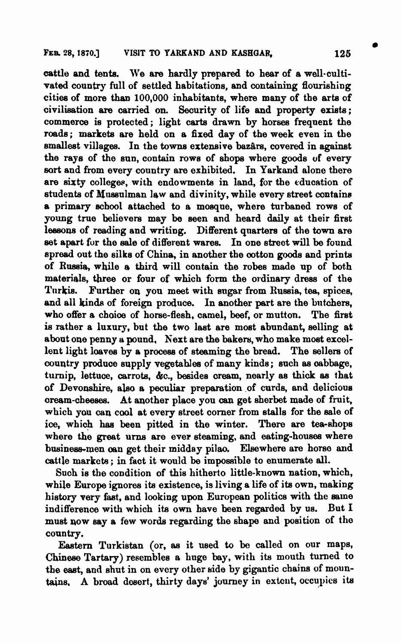eattle and tente. We are hardly prepared to hear of a well-cultivated country full of settled habitations, and containing flourishing cities of more than 100,000 inhabitants, where many of the arts of civilisation **are** carried on. Security of life and **property** exists; commerce is protected; light carts drawn by horsea frequent the roads; markets are held on a fixed day of the week even in the smallest villages. In the towns extensive bazars, covered in against the *rage* of the sun, contain rows of shops where goods of every **sort** and from every country are exhibited. In Yarkand alone there are sixty colleges, with endowments in land, for the education of students of Mussulman law and divinity, while every street contains a primary **echo01** attached to a mosque, where turbaned rows of young true believere may be seen and heard daily at their first lessons of reading and writing. Different quarters of the town are set apart for the sale of different wares. In one street will be found spread out the silks of China, in another the ootton **goods** and prints of Russia, while a third will contain the robes made up of both materials, three or four of which form the ordinary dress of the Turkis. Further on you meet with sugar from Russia, tea, spices, and all kinds of foreign produce. In another part are the butchers, who offer a choice of horse-flesh. camel. beef. or mutton. The first is rather a luxury, but the two last are most abundant, selling at about one penny a pound, Next are the bakers, who make most excellent light loaves by a process of steaming the bread. The sellers of country produce supply vegetables of many kinds; mch **ae** oabbage, turnip, lettuce, carrots, &c., besides oream, nearly as thick **se** that of Devonahire, also a peculiar preparation of curds, and delicious oream-cheeees. At another place you can get sherbet made of fruit, which you can cool at every street corner from stalls for the sale of ice, which **haa** been pitted in the winter. There **are** tea-shops where the great urns are ever steaming, and eating-houses where business-men can get their midday pilao. Elsewhere are horse and cattle markets: in fact it would be impossible to enumerate all.

Suoh is the condition of this hitherto little-known nation, which, while Europe ignores its existence, is living a life of its own, making history very fast, and looking upon European politics with the same indifference with which ita own have been regarded by us. But **I**  must now **say** a few words regarding the shape and position of tho country.

Eastem Turkistan (or, **ae** it used to be called on our maps, Chinese Tartary) resembles a huge bay, with its mouth turned to the east, and shut in on every other side by gigantic chains of mountains. A broad desert, thirty days' journey in extent, occupics its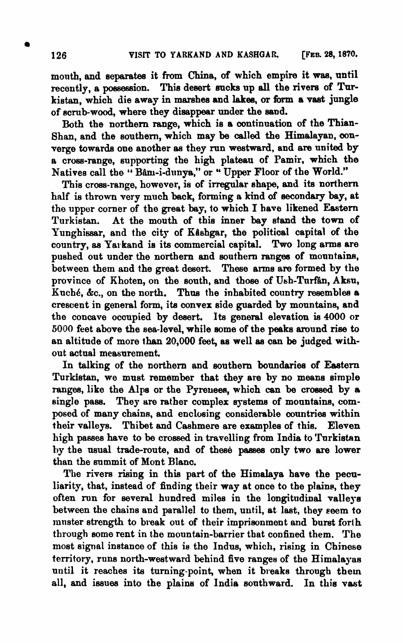mouth, and separates it from China, of which empire it was, until recently, a poesession. This desert mcks up **all** the rivers of Turkish, which die away in marshes and **lakee,** or form a vast jungle of scrub-wood, where they disappear under the sand.

Both the northern **range,** which is a oontinuation of the Thian-Shan, and the southern, which may be called the Himalayan, **oon**verge towards one another as they run westward, and are united by a cross-range, supporting the high plateau of Pamir, which the Natives call the "Bâm-i-dunya," or "Upper Floor of the World."

This crose-range, however, is of irregular shape, and its northern half is thrown very much back, forming a kind of secondary bay, at the upper corner of the great bay, to which I have likened Eastern<br>Turkistan. At the mouth of this inner bay stand the town of At the mouth of this inner bay stand the town of Yunghissar, and the city of Kâshgar, the political capital of the country, **ss** Parkand is its commercial capital. Two long arms are pushed out under the northern and southern ranges of monntains, between them and the great desert. These arms are formed by the province of Khoten, on the south, and those of Ush-Turfan, Aksu, Kuché, &c., on the north. Thus the inhabited country resembles a crescent in general form, ita convex side guarded by mountains, and the concavs ocoupied by deaert. Its general elevation is 4000 or **5000** feet above the sea-level, while some of the peeks around rise to an altitude of more than **20,000** feet, as well **ae** can be judged without actual measurement.

In talking of the northern and southern boundaries of Eastern Turkistan, we must remember that they are by no means simple ranges, like the Alps or the Pyrenees, which can be crossed by a single pass. They are rather complex systems of mountains, composed of many chains, and enclosing considerable countries within their valleys. Thibet and Cashmere are examples of this. Eleven high have to be crossed in travelling from India to Turkistan by the usual trade-route, and of these **paeses** only two are lower than the summit of Mont Blanc.

The rivers rising in this part of the Himalaya have the peculiarity, that, instead of finding their way at once to the plains, they often run for several hundred miles in the longitudinal valleys between the chains and parallel to them, until, at last, they seem to muster strength to break out of their imprisonment and burst forth through some rent in the mountain-barrier that confined them. The most signal instance of this is the Indus, which, rising in Chinese territory, runs north-westward behind five ranges of the Himalayas until it reaches ite taming-point, when it breaks through them all, and iseuea into the plains of India southward. In this vast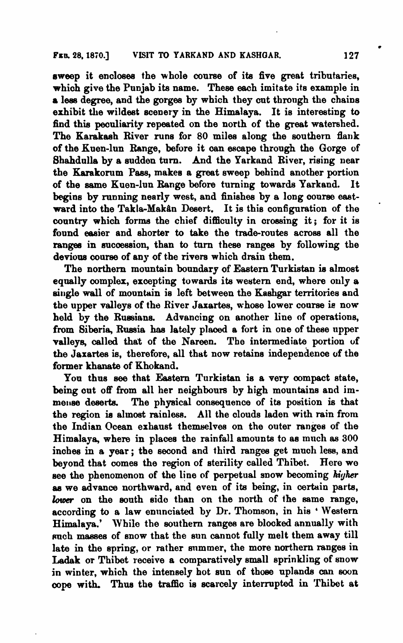sweep it enclosee the whole course of its five great tributaries, which give the Punjab its name. These each imitate its example in **a** la degree, and the gorges by which they cut through the chains exhibit the wildest scenery in the Himalaya. It **is** interesting **to**  find this peouliarity repeated on the north of the great watershed. The Karakash River runs for 80 miles along the southern flank of the Kuen-lun Range, before it **oan** escape through the Gorge of Bhahdnlla by a sudden turn. And the Yarkand River, rising near the Karakorum **Pees,** makes a great sweep behind another portion of the same Kuen-lun Benge before turning towards Yarkaud. It begins by running nearly west, and finishes by a long oouree eastward into the Takla-Makân Desert. It is this configuration of the country which forms the chief difficulty in crossing it; for it is found easier and shorter to take the trade-routes across all the ranges in sncoesaion, than to turn these **rangea** by following the devious course of any of the rivers which drain them.

The northern mountain boundary of Eastern Turkistan is almost equally complex, excepting towards its western end, where only a single wall of mountain is left between the Kashgar territories and the upper valleys of the River Jaxartea, whose lower course **ie** now held by the Russians. Advancing on another line of operations, from Siberia, Russia has lately placed a fort in one of these upper vallepe, called that of the Nareen. The intermediate portion of the Jaxartes is, therefore, all that now retains independence of the former khanate of Khokand.

You thus **see** that **Eastern** Turkistan is a very oompect state, **being** cut off from all her neighbours by high mountains and immense deserts. The physical consequence of its position is that the region is **almost** rainlesa. All the clouds laden with rain from the Indian Ocean exhaust themselves on the outer ranges of the Himalaya, where in places the rainfall amounts to **as** much **aa** 300 inches in a year; the second and third ranges get much less, and beyond that comes the region of sterility called Thibet. Here we see the phenomenon of the line of perpetual snow becoming *higher* **ee** we advance northward, and even of ita **being,** in certain park, *lower* on the south side than on the north of the same range, according to a law enunciated by Dr. Thomson, in his 'Western Himalaya.' While the southern ranges are blocked annually with such masses of snow that the sun cannot fully melt them away till late in the apring, or rather snmmer, the more northern ranges in Ladak or Thibet receive a comparatively small sprinkling of snow in winter, which the inteneely hot sun of thoee nplande **am** soon **cope** with. **Thus** the tra5c **ie** scarcely interrupted in Thibet at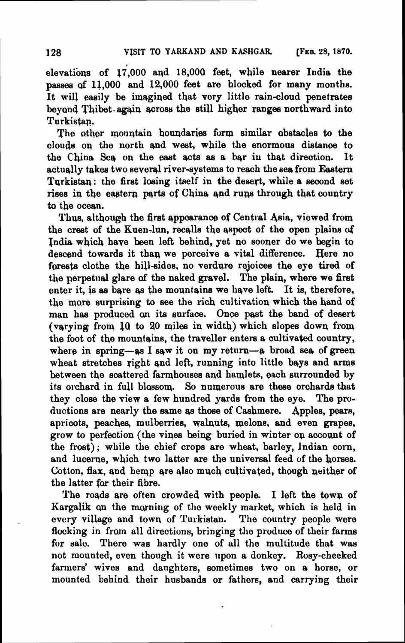elevations of 17,000 and 18,000 feet, while nearer India the passes **of** 11,000 and 12,000 feet are blocked for many months. It will easily be imagined that very little rain-cloud penetrates beyond Thibet.again across the still higher ranges northward into Turkistan.

The ather mountain boundaries form similar obstacles to the clouds on the north and west, while the enormous distance to the China Sea on the east acts as a bar in that direction. It actually takes two several river-systems to reach the sea from **Eastern** Turkistan: the first losing itself in the desert, while a second set rises in the eastern parts of China and runs through that country **ta** the ocean.

Thus, although the first appearance of Central Asia, viewed from the crest of the Kuen-lun, recalls the aspect of the open plains of India which have been left behind, yet no sooner do we begin to descend towards it than we perceive a vital difference. Here no forests clothe the hill-sides, no verdure rejoices the eye tired of the perpetual glare of the naked gravel. The plain, where we first enter it, is as bare as the mountains we have left. It is, therefore, the more surprising to see the rich cultivation which the hand of man haa produced an its surface. Onoe past the band of desert (varying from 10 to 20 miles in width) which slopes down from the foot of the mountains, the traveller enters a cultivated country, where in spring-as I saw it on my return-a broad sea of green wheat stretches right and left, running into little bays and arms between the scattered farmhouses and hamlets, each surrounded by its orchard in full blossom. So numerous are these orchards that they close the view a few hundred yards from the eye. The productions are nearly the same as those of Cashmere. Apples, pears, apricots, peaches, mulberries, walnuts, melons, and even grapes, grow to perfection (the vines being buried in winter on account of the frost); while the chief crops are what, barley, Indian corn, and lucerne, which two latter are the universal feed of the horses. Cotton, flax, and hemp are also much cultivated, though neither of the latter for their fibre.

The roads are often crowded with people. I left the town of Kargalik on the morning of the weekly market, which is held in every village and town of Turkistan. The country people were flocking in from all directions, bringing the produce of their farms for sale. There was hardly one of **all** the multitude that was not mounted, even though it were lipon a donkey. Rosy-cheeked farmers' wives and danghters, sometimes two on a horse, or mounted behind their husbands or fathers, and carrying their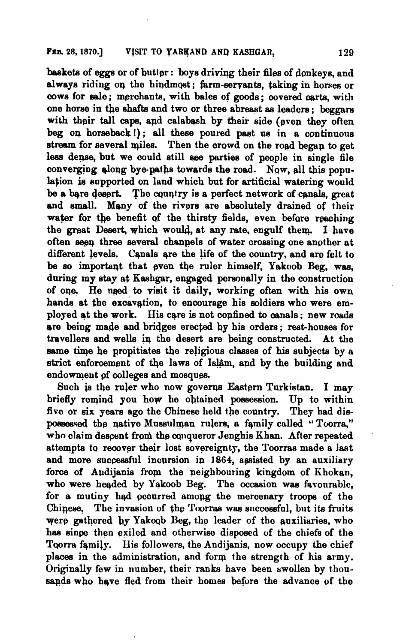basketa of **eggs** or of butler : boys driving their files of donkeys, and always riding on the hindmost; farm-servants, taking in horses or cows for sale; merchants, with bales of goods; covered carts, with one horse in the shafts and two or three abreast as leaders ; beggars with their tall caps, and calabash by their side (even they often beg on horseback !); all these poured past us in a continuous stream for several miles. Then the crowd on the road began to get less dense, but we could still see parties of people in single file converging along bye-paths towards the road. Now, all this population is supported on land which but for artificial watering would be a bare desert. The country is a perfect network of canals, great and small. Many of the rivers are absolutely drained of their water for the benefit of the thirsty fields, even before reaching the great Desert, which would, at any rate, engulf them. I have often seen three several channels of water crossing one another at different levels. Canals are the life of the country, and are felt to be ao importaqt that pven the ruler himaelf, Yakoob Beg, wae, during my stay at Kashgar, engaged personally in the construction of **oqe.** He upd to visit it daily, working often with hia own hands at the excavation, to encourage his soldiers who were employed at the work. His care is not confined to canals; new roads are being made and bridges erected by his orders; rest-houses for travellers and wells in the desert are being constructed. At the same time he propitiates the religious classes of his subjects by a strict enforcement of the laws of Islam, and by the building and endowmeut pf colleges and mosquea

Such is the ruler who now governs Eastern Turkistan. I may briefly remind you how he obtained possession. Up to within five or six years ago the Chinese held the country. They had dispossessed the native Mussulman rulers, a family called "Toorra," who claim descent from the conqueror Jenghis Khan. After repeated attempts to recover their lost sovereignty, the Toorras made a last and more successful incursion in 1864, assisted by an auxiliary force of Audijanis from the neighbouring kingdom of Khokan, who were headed by Yakoob Beg. The occasion was favourable, for a mutiny had occurred among the mercenary troops of the Chinese. The invasion of the Toorras was successful, but its fruits were gathered by Yakoob Beg, the leader of the auxiliaries, who has sinpe then exiled and otherwise disposed of the chiefs of the Toorra family. His followers, the Andijanis, now occupy the chief places in the administration, and form the strength of his army. Originally few in number, their ranks have been swollen by thousands who have fled from their homes before the advance of the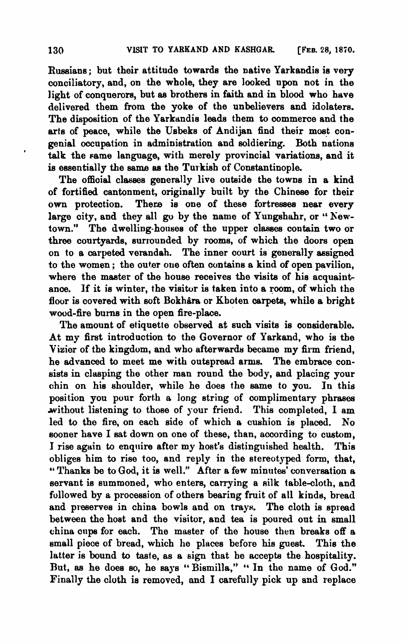Russians; but their attitude towards the native Yarkandis is very conciliatory, and, on the whole, they are looked upon not in the light of conquerors, but as brothers in faith and in blood who have delivered them from the yoke of the unbelievers and idolaters. The disposition of the Yarkandis leads them to commerce and the arts of peace, while the Usbeks of Andijan find their most congenial occupation in administration and soldiering. Both nations talk the same language, with merely provincial variations, and it is essentially the same as the Turkish of Constantinople.

The official classes generally live outside the towns in a kind of fortified cantonment, originally built by the Chinese for their<br>own protection. There is one of these fortresses near every There is one of these fortresses near every large city, and they all go by the name of Yungshahr, or "Newtown." The dwelling-houses of the upper classes contain two or three conrtyarde, surrounded by rooms, of which the doors open on to a carpeted verandah. The inner oourt is generally assigned to the women ; the outer oue often oontains a kind of open pavilion, where the master of the house receives the visits of his acquaintance. If it is winter, the visitor is taken into a room, of which the floor is covered with soft Bokhara or Khoten carpets, while a bright wood-fire burns in the open fire-place.

The amount of etiquette observed at such visits **is** considerable. At my first introduction to the Governor of Yarkand, who is the Vizier of the kingdom, and who afterwards became my firm friend, he advanced to meet me with outspread **arms.** The embrace consists in clasping the other man round the body, and placing your chin on his shoulder, while he does the aame to you. In thia position you pour forth a long string of complimentary phrases without listening to those of your friend. This completed, I am led to the fire, on each side of which a cushion is placed. No led to the fire, on each side of which a cushion is placed. sooner have I sat down on one of these, than, according to custom, I rise again to enquire after my host's distinguished health. This obliges him to rise too, and reply in the stereotyped form, that, "Thanks be to God, it is well." After a few minutes' conversation a servant is summoned, who enters, carrying a silk table-cloth, and followed by a procession of others bearing fruit of all kinds, bread and preserves in china bowls and on trays. The cloth is spread between the host and the visitor, and tea is poured out in small china cups for each. The master of the house then breaks off a small piece of bread, which he places before his guest. This the latter is bound to taste, as a sign that he accepts the hospitality. But, as he does so, he says "Bismilla," " In the name of God." Finally the cloth is removed, and I carefully pick up and replace

 $\bullet$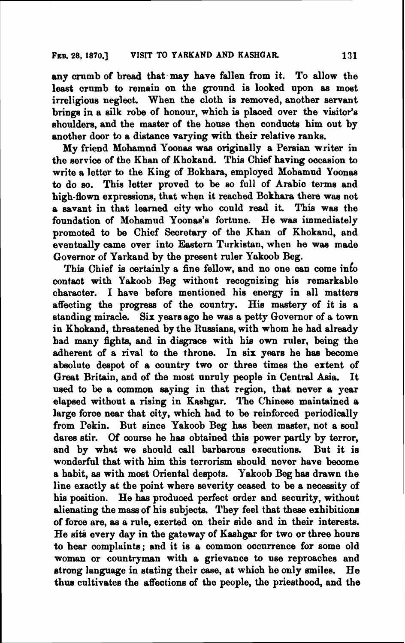any crumb of bread that may have fallen from it. To allow the least crumb to remain on the ground is looked upon **ss** most irreligious neglect. When the cloth is removed, another servant brings in a silk robe of honour, which is placed over the vieitor's shouldera, and the master of the house then conducta him out by another door **to** a distance varying with their relative ranks.

My friend Mohamud Yoonas was originally a Persian writer in the service of the Khan of Khokand. This Chief having occasion to write a letter to the King of Bokhara, employed Mohamud Yoonaa to do **ao.** This letter proved to be so full of Arabic terms and high-flown expressions, that when it reached Bokhara there wae not a avant in that learned city who could red it **This** was the foundation of Mohamud Yoonas's fortune. He was immediately promoted to be Chief Secretary of the Khan of Khokand, and eventually came over into Eastern Turkistan, when he was made Governor of Yarkand by the present ruler Yakoob **Beg.** 

This Chief is certainly a fine fellow, and no one can come into contact with Yakoob **Reg** withont recognizing his remarkable character. I have before mentioned **his** energy in all mattere affecting the progress of the country. His mastery of it is a standing miracle. Six years **ago** he was a petty Governor of a **town**  in Khokand, threatened by the Russians, with whom he had already had **many** fights, and in diegrace with his own ruler, being the adherent of a rival to the throne. In six years he **has** become absolute despot of a country two or three times the extent of Great Britain, and of the most unruly people in Central Asia. It used to **be** a common saying in that region, that never a year elapsed without a rising in Kashgar. The Chinese maintained a large force near that oity, which had to be reinforced periodically from Pekin. But since Yakoob Beg has been master, not a soul dares stir. Of course he has obtained this power partly by terror, and by what we should call barbarous executions. But it is and by what we should call barbarous executions. wonderful that with him this terrorism should never have beoome a habit, as with most Oriental despots. Yakoob Beg has drawn the line exactly at the point where severity ceased to be a necessity of his position. He **has** produced perfect order and security, without alienating the mass of his subjects. They feel that these exhibitions of force are, **es** a mle, exerted on their side and in their interests. He sits every day in the gateway of Kashgar for two or three hours to hear complaints; and it **ie** a common occnrrence for some old woman or countryman with a grievance to use reproaches and strong language in stating their case, at which he only smiles. He thue cultivates the affections of the people, the priesthood, and the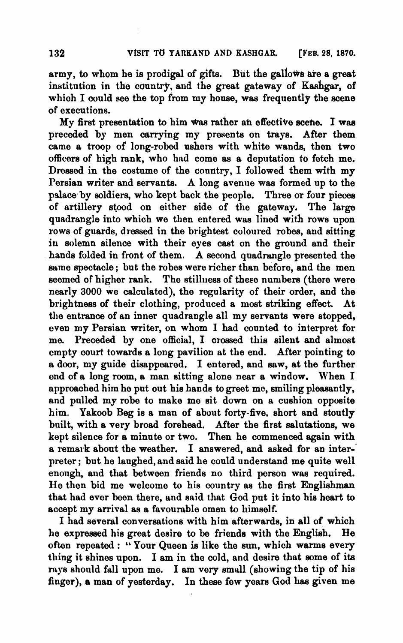army, to whom he is prodigal of gifts. But the gallows are a great institution in the country, and the great gateway of Kashgar, of which I could see the top from my house, was frequently the scene of executions.

My first presentation to him **\*aa** rather **ah** effective eoehe. I wae preceded by men carrying my presents on trays. After them came a troop of long-robed ushers with white wands, then two officers of high **rank,** who had come **as** a deputation to fetch me. Dressed in the costume of the country, I followed them with my Persian writer and servants. A long avenue was formed up to the palace by soldiers, who kept back the people. Three or four pieces of artillery stood on either side of the gateway, The large quadrangle into which we then entered was lined with rows upon rows of guards, dressed in the brightest coloured robes, and sitting in solemn silence with their eyes cast on the ground and their hands folded in front of them. A second quadrangle presented the same spectacle ; but the robes were richer than before, and the men seemed of higher rank. The stillness of these numbers (there were nearly 3000 we calculated), the regularity of their order, and the brightness of their clothing, produced a most striking effect. At the entrance of an inner quadrangle all my servants were stopped, even my Persian writer, on whom I had counted to interpret for me. Preceded by one official, I crossed this silent and almost cmpty court towards a long pavilion at the end. After pointing to a door, my guide disappeared. I entered, and saw, at the further end of a long room, a man sitting alone near a window. When I approached him he put out his hands to greet me, smiling pleasantly, and pulled my robe to make me sit down on a cushion opposite him. Yakoob Beg is a man of about forty-five, short and stoutly built, with a very broad forehead. After the first salutations, we kept silence for a minute or two. Then he commenced again with a remark about the weather. I answered, and asked for an inter- preter ; but he laughed, and said he could understand me quite well enongh, and that between friends no third person was required. He then bid me welcome to his country **as** the first Englishman that had ever been there, end said that **God** put it into his heart to accept my arrival as a favourable omen to himself.

I had several conversations with him afterwards, in all of which<br>expressed his great desire to be friends with the English. He he expressed his great desire to be friends with the English. often repeated : " Your Queen is like the sun, which warms every thing it shines upon. I **am** in the cold, and desire that eome of **its**  rags should fall upon me. I am very small (showing the tip of his finger), a man of yesterday. In these few years God has given me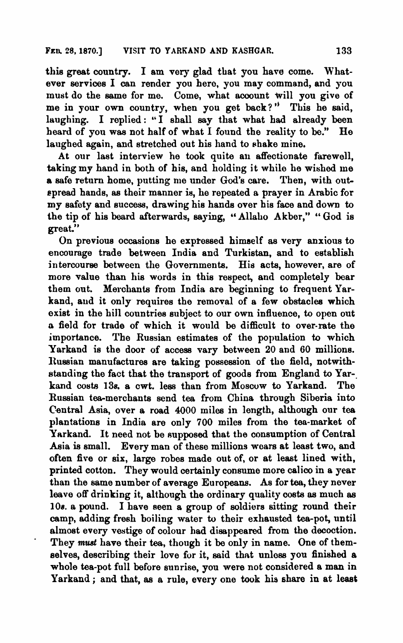this great country. I am very glad that you have come. Whatever services I can render you here, you may command, and you must do the same for me. Come, what account will you give of me in your own country, when you get back?'' This he said, laughing. I replied : "I shall say that what had already been heard of you was not half of what I found the reality to be." He laughed again, and stretched out his hand to shake mine.

At our last interview he took quite an affectionate farewell, **taking** my hand in both of his, and holding it while he wished **me**  a safe return home, putting me under God's care. Then, with out spread hands, as their manner is, he repeated a prayer in Arabic for my safety and success, drawing his hands over his face and down to the tip of his beard afterwards, saying, "Allaho Akber," "God is great."

On previoue occasions he exptessed himself **aa** very anxious to encourage trade between India and Turkistan, and to establish intercourse between the Governments. His acts, however, are of more value than his words in this respect, and completely bear them out. Merchants from India are beginning to frequent Yarkand, aud it only requires the removal of a few obstacles which exist in the hill countries subject to our own influence, to open out **o** field for trade of which it would be difficult to over-rate the importance. The Russian estimates of the population to which Yarkand is the door of access vary between 20 and 60 millions. Russian manufactures are taking possession of the field, notwithstanding the fact that the transport of goods from England to Yar-, kand coeta **138.** a cwt. less than from Moscow to Yarkand. The Russian tea-merchants send tea from China through Siberia into Central Asia, over a road 4000 miles in length, although our tea plantations in India are only 700 miles from the tea-market of Yarkand. It need not be supposed that the consumption of Central Asia is small. Every man of these millions **wears** at least two, and often five or six, large robes made out of, or at least lined with, printed cotton. They would certainly consume more calico in a year than the same number of average Europeans. As for **tea,** they never leave off drinking it, although the ordinary quality costa **as** much **as**  10s. a pound. I have seen a group of soldiers sitting round their camp, adding fresh boiling water **to** their exhausted tea-pot, until almost every vestige of colour had disappeared from the decoction. They must have their tea, though it be only in name. One of themeelves, describing their love for it, said that unloss you finiehed a whole tea-pot full before sunrise, you were not considered a man in Yarkand ; and that, as a rule, every one **took** his **share** in at least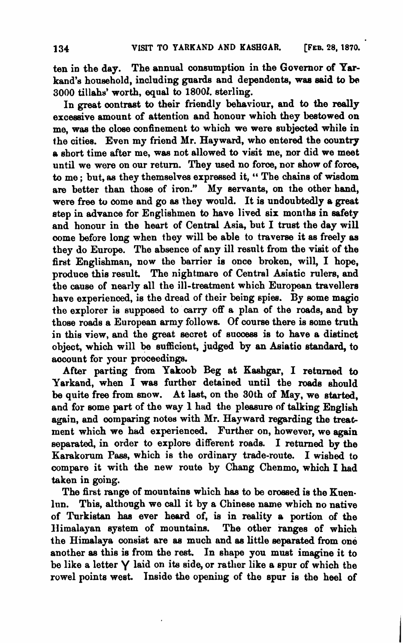ten in the day. The annual coneumption in the Governor of **Yar**kand'a household, including guards and dependente, wae aaid to **be 3000 tillahs'** worth, equal to 18001. sterling.

In great contrast to their friendly behaviour, and to the really excessive amount of attention and honour which they bestowed on me, wae the close confinement **to** which we were subjected while in the cities. Even my friend Mr. Hayward, who entered the country a short time after me, was not allowed to visit me, nor did we meet until we were on our return. They **used** no force, nor show of force, to me; but, as they themselves expressed it. " The chains of wisdom are better than those of iron." My servants, on the other hand, were **free to** come and go aa they would. It is undoubtedly a great step in advance for Englishmen to have lived six months in safety and honour in the hart of Central Asia, but I trust the day will oome before long when they will be able to traverse it **as** freely **as**  they do Europe. The absence of any ill result from the visit of the first Englishman, now the barrier is once broken, will, I hope, produce this result. The nightmare of Central Asiatic rulers, and the cause of nearly all the ill-treatment which European travellere have experienced, is the dread of their being spies. By some magio the explorer is supposed to carry off a plan of the roads, and by those roads a European army follows. Of course there is some truth in this view, and the great secret of success is to have a distinct object, which will be sufficient, judged by an hiatio standard, to aocount for your proceedings.

After parting from Yakoob Beg at **Kaahgar,** I returned **to**  Yarkand, when I was further detained until the roads should be **quite** free from snow. At last, on the **30th** of May, we started, and for some part of the way 1 had the pleasure of talking English again, and comparing notes with Mr. Hayward regarding the treatment which we **had** experienced. Further on, however, we agein separated, in order to explore different roads. I returned by the Karakorum Pase, which is the ordinary trade-route. I wished to compare it with the new route by Chang Chenmo, which I had taken in going.

The first range of mountains which has to be orossed is the Kuen-Inn. This, although we **call** it by a Chinese name which no native of Tnrkistan **hae** ever heard of, is in reality a portion of the Ilimalayan system of mountains. The other ranges of which the Himalaya consist are **as** much and **se** little separated from one another aa this is from the rest. In shape you must imagine it to be like a letter **Y** laid on ite side, or rather like a spur of which the rowel points west. Inside the opening of the spur is the heel of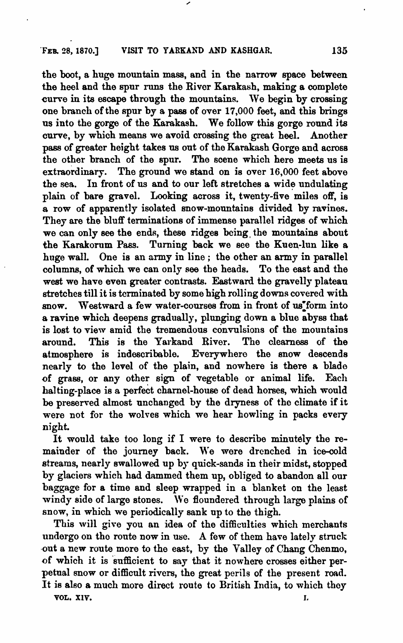the boot, a huge mountain **mass,** and in the narrow space **between**  the heel and the spur **runs** the River Karakash, making a complete curve in its escape through the mountains. We begin by crossing one branch of the spur by a **pase** of over 17,000 feat, and this brings us into the gorge of the Karakash. We follow this gorge round its curve, by which means we avoid crossing the great heel. Another pass of greater height takes us out of the Karakash Gorge and across the other branch of the spur. The scene which here meets us is extraordinary. The ground we stand on is over 16,000 feet above the sea. In front of us and to our left stretches a wide undulating plain of bare gravel. Looking across it, twenty-five miles off, is a row of apparently isolated snow-mountains divided by ravines. They are the bluff terminations of immense parallel ridges of which we can only **see** the ends, these ridges being, the mountaim about the Karakornm **Pass.** Turning beck we see the Kuen-lun like a huge wall. One is an army in line ; the other an army in parallel columns, of which we can only see the heads. To the east and the west we have even greater contrasts. Eastward the gravelly plateau stretches till it is terminated by some high rolling downs covered with snow. Westward a few water-courses from in front of us form into a ravine which deepens gradually, plunging down a blue abyss that is lost to view amid the tremendous convulsions of the mountains around. This is the Yarkand River. The clearness of the atmosphere is indescribable. Everywhere the snow descends nearly to the level of the plain, and nowhere **ia** there a blado of grass, or any other sign of vegetable or animal life. Each halting-place is a perfect charnel-house of dead horses, which would be preserved almost unchanged by the dryness of tho climate if it were not for the wolves which we hear howling in packs every night.

It would **take** too long if I were to describe minutely the remainder of the journey back. We were drenched in ice-cold streams, nearly swallowed up by quick-sands in their midst, stopped by glaciers which had dammed them up, obliged to abandon all our baggage for a time and deep wrapped in a blanket on the least windy side of large stones. We floundered through large plains of snow, in which we periodically sank up to the thigh.

**This** will give you an idea of the difficulties which merchants undergo on the route now in use. A few of them have lately struck out a new route more to the east, by the Valley of Chang Chenmo, of which it is sufficient to say that it nowhere crosses either perpetual snow or difficult rivers, the great perils of the present road. It is also a much more direct route to British India, to which thoy

VOL. **XIV.** I.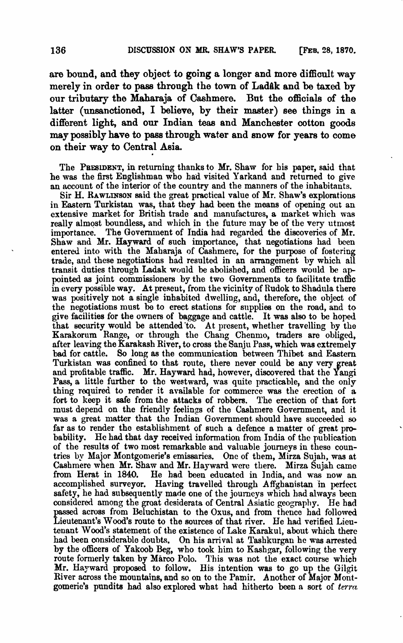**are bound, and they object to going a longer and more difficult way merely in order to pass through the** town **of Ladilk and be taxed by our tributary the Maharaja of Cashmere. But the officials of the latter** (unsanctioned, **I believe, by their master) see things in a**  different light, and our Indian teas and Manchester cotton goods **may possibly have to pass through water and snow for years to come on their way to Central Asia.** 

The PRESIDENT, in returning thanks to Mr. Shaw for his paper, said that he was the first Englishman who had visited Yarkand and returned to give **an** account of the interior of the county and the manners of the inhabitants.

Sir H. RAWLINSON said the great practical value of Mr. Shaw's explorations in Eastern Turkistan was, that they had been the means of opening out an extensive market for British trade and manufactures, a market which was really almost boundless, and which in the future may be of the very utmost importance. The Government of India had regarded the discoveries of Mr. Shaw and **Mr. Hayward** of such importance, that negotiations had been entered into with the Maharaja of Cashmere, for the purpose of fostering trade, and these negotiations had resulted in an arrangement by which all transit duties through Ladak would be abolished, and officers would be appointed as joint commissioners by the two Governments to facilitate traffic in every possible way. At preseut, from the vicinity of Rudok to Shadula there was positively not a single inhabited dwelling, and, therefore, the object of the negotiations must be to erect stations for supplies on the road, and to give facilities for the owners of baggage and cattle. It was also to be hoped that security would be attended to. At present, whether travelling by the Karakorum Range, or through the Chang Chenmo, tmders are obliged, after leaving the fiarakash River, to cross the Snqju **Pass,** which waa extremely bad for cattle. **So** long as the communication between Thibet and Eastern Turkistan was confined to that route, there never could be any very great and profitable traffic. Mr. Hayward had, however, discovered that the Yangi<br>Pass, a little further to the westward, was quite practicable, and the only thing required to render it available for commerce **was** the erection of a fort to lieep it safe from the attacks of robbers. The erection of that fort must depend on the friendly feelings of the Cashmere Government, and it was a great matter that the Indian Government should have succeeded so far as to render the establishment of such a defence a matter of great probability. He had that day received information from India of tho publication of the results of two moat remarkable and valunble journeys in these coun- tries by Ma'or Montgomerie's emisssries. One of them, Mirza Sujah, was at Cashmere when Mr. Shaw and Mr. Hayward were there. Mirza Sujah came from Herat in 1840. He had been educated in India, and was now an accomplished surveyor. Having travelled through Affghanistan in perfect safety, he had subsequently made one of the joumcys which had always been considered among the groat desiderata of Central Asiatic geography. He had passed across from Beluchistan to the Oxus, and from thence had followed Lieutenant's Wood's route to the sources of that river. He had verified Lieutenant Wood's statement of the existence of Lake Karakul, about which there had been considemble doubts. On his arrival at Tashknrgnn hc **was** arrested by the oficera of Yakoob Beg, who took him to Kashgar, following the very route formerly taken by Marco Polo. This was not the exact course which Mr. Hayward proposed to follow. His intention was to go up the Gilgit River across the mountains, and so on to the Pamir. Another of Major Montgomeric's pundita had also explored what had hitherto been **n** sort of *terra*